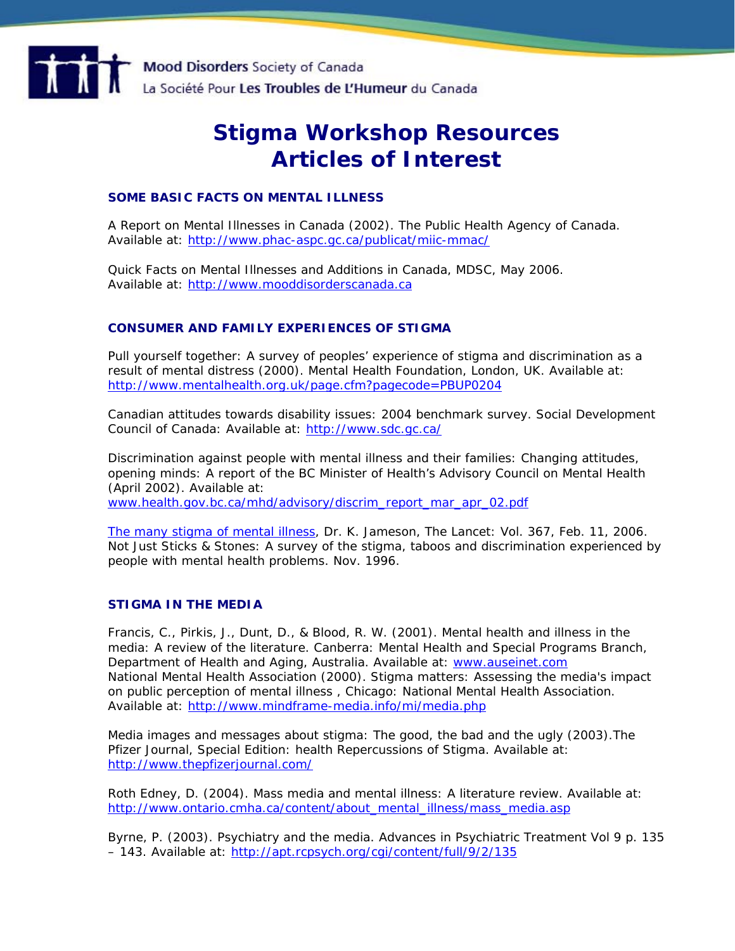

# **Stigma Workshop Resources Articles of Interest**

## **SOME BASIC FACTS ON MENTAL ILLNESS**

A Report on Mental Illnesses in Canada (2002). The Public Health Agency of Canada. Available at: <http://www.phac-aspc.gc.ca/publicat/miic-mmac/>

Quick Facts on Mental Illnesses and Additions in Canada, MDSC, May 2006. Available at: [http://www.mooddisorderscanada.ca](http://www.mooddisorderscanada.ca/)

## **CONSUMER AND FAMILY EXPERIENCES OF STIGMA**

Pull yourself together: A survey of peoples' experience of stigma and discrimination as a result of mental distress (2000). Mental Health Foundation, London, UK. Available at: <http://www.mentalhealth.org.uk/page.cfm?pagecode=PBUP0204>

Canadian attitudes towards disability issues: 2004 benchmark survey. Social Development Council of Canada: Available at: [http://www.sdc.gc.ca/](http://www.sdc.gc.ca/asp/gateway.asp?hr=en/hip/odi/documents/attitudesPoll/index.shtml&hs=pyp)

Discrimination against people with mental illness and their families: Changing attitudes, opening minds: A report of the BC Minister of Health's Advisory Council on Mental Health (April 2002). Available at:

[www.health.gov.bc.ca/mhd/advisory/discrim\\_report\\_mar\\_apr\\_02.pdf](http://www.health.gov.bc.ca/mhd/advisory/discrim_report_mar_apr_02.pdf)

[The many stigma of mental illness,](http://mooddisorderscanada.ca/Stigma/The%20many%20stigmas%20of%20mental%20illness.pdf) Dr. K. Jameson, The Lancet: Vol. 367, Feb. 11, 2006. Not Just Sticks & Stones: A survey of the stigma, taboos and discrimination experienced by people with mental health problems. Nov. 1996.

#### **STIGMA IN THE MEDIA**

Francis, C., Pirkis, J., Dunt, D., & Blood, R. W. (2001). Mental health and illness in the media: A review of the literature. Canberra: Mental Health and Special Programs Branch, Department of Health and Aging, Australia. Available at: [www.auseinet.com](http://www.auseinet.com/)  National Mental Health Association (2000). *Stigma matters: Assessing the media's impact on public perception of mental illness ,* Chicago: National Mental Health Association. Available at: <http://www.mindframe-media.info/mi/media.php>

Media images and messages about stigma: The good, the bad and the ugly (2003).The Pfizer Journal, Special Edition: health Repercussions of Stigma. Available at: [http://www.thepfizerjournal.com/](http://www.thepfizerjournal.com/default.asp?a=article&j=tpj37&t=Media%20Images%20And%20Messages%20About%20Stigma) 

Roth Edney, D. (2004). Mass media and mental illness: A literature review. Available at: [http://www.ontario.cmha.ca/content/about\\_mental\\_illness/mass\\_media.asp](http://www.ontario.cmha.ca/content/about_mental_illness/mass_media.asp)

Byrne, P. (2003). Psychiatry and the media. Advances in Psychiatric Treatment Vol 9 p. 135 - 143. Available at: <http://apt.rcpsych.org/cgi/content/full/9/2/135>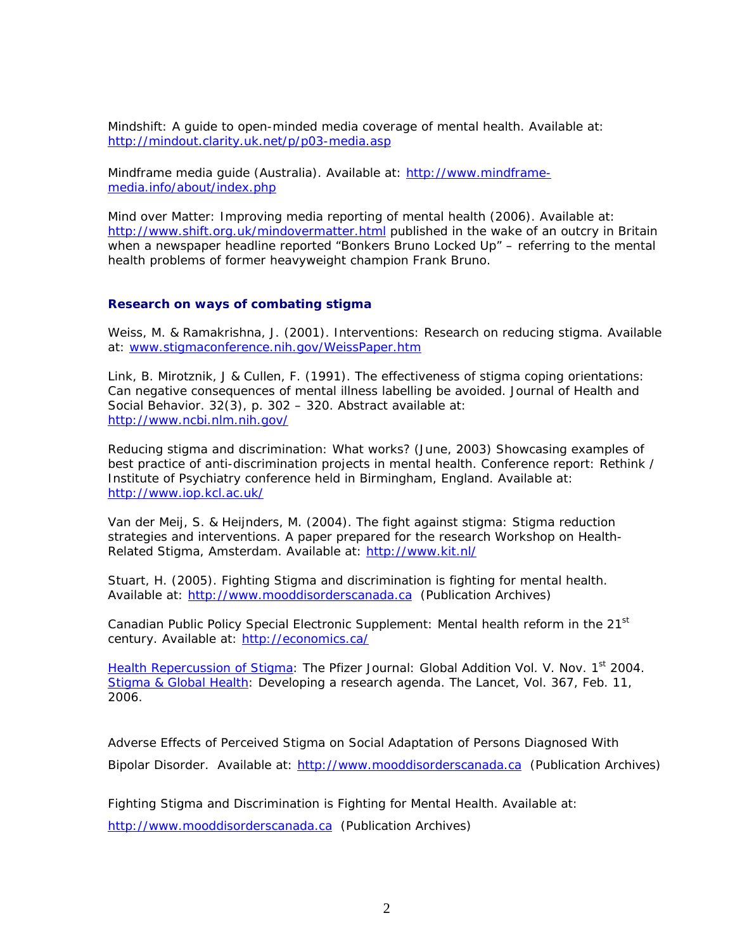Mindshift: A guide to open-minded media coverage of mental health. Available at: <http://mindout.clarity.uk.net/p/p03-media.asp>

Mindframe media guide (Australia). Available at: [http://www.mindframe](http://www.mindframe-media.info/about/index.php)[media.info/about/index.php](http://www.mindframe-media.info/about/index.php) 

Mind over Matter: Improving media reporting of mental health (2006). Available at: <http://www.shift.org.uk/mindovermatter.html>published in the wake of an outcry in Britain when a newspaper headline reported "Bonkers Bruno Locked Up" – referring to the mental health problems of former heavyweight champion Frank Bruno.

#### **Research on ways of combating stigma**

Weiss, M. & Ramakrishna, J. (2001). Interventions: Research on reducing stigma. Available at: [www.stigmaconference.nih.gov/WeissPaper.htm](http://www.stigmaconference.nih.gov/WeissPaper.htm) 

Link, B. Mirotznik, J & Cullen, F. (1991). The effectiveness of stigma coping orientations: Can negative consequences of mental illness labelling be avoided. Journal of Health and Social Behavior. 32(3), p. 302 – 320. Abstract available at: [http://www.ncbi.nlm.nih.gov/](http://www.ncbi.nlm.nih.gov/entrez/query.fcgi?cmd=retrieve&db=pubmed&list_uids=1940212&dopt=Abstract)

Reducing stigma and discrimination: What works? (June, 2003) Showcasing examples of best practice of anti-discrimination projects in mental health. Conference report: Rethink / Institute of Psychiatry conference held in Birmingham, England. Available at: [http://www.iop.kcl.ac.uk/](http://www.iop.kcl.ac.uk/iopweb/departments/home/default.aspx?locator=461) 

Van der Meij, S. & Heijnders, M. (2004). The fight against stigma: Stigma reduction strategies and interventions. A paper prepared for the research Workshop on Health-Related Stigma, Amsterdam. Available at: [http://www.kit.nl/](http://www.kit.nl/frameset.asp?/development/html/productsservices.asp&frnr=1&ItemID=2538)

Stuart, H. (2005). Fighting Stigma and discrimination is fighting for mental health. Available at: [http://www.mooddisorderscanada.ca](http://www.mooddisorderscanada.ca/) (Publication Archives)

Canadian Public Policy Special Electronic Supplement: Mental health reform in the 21<sup>st</sup> century. Available at: [http://economics.ca/](http://economics.ca/cgi/jab?journal=cpp&view=v31s1/CPPv31s1p021.pdf)

[Health Repercussion of Stigma](http://mooddisorderscanada.ca/Stigma/Health%20Repercusions%20of%20Stigma.pdf): The Pfizer Journal: Global Addition Vol. V. Nov. 1<sup>st</sup> 2004. [Stigma & Global Health](http://mooddisorderscanada.ca/Stigma/Stigma%20&%20Global%20Health%20developing%20a%20research%20agenda.pdf): Developing a research agenda. The Lancet, Vol. 367, Feb. 11, 2006.

Adverse Effects of Perceived Stigma on Social Adaptation of Persons Diagnosed With Bipolar Disorder. Available at: [http://www.mooddisorderscanada.ca](http://www.mooddisorderscanada.ca/) (Publication Archives)

Fighting Stigma and Discrimination is Fighting for Mental Health. Available at: [http://www.mooddisorderscanada.ca](http://www.mooddisorderscanada.ca/) (Publication Archives)